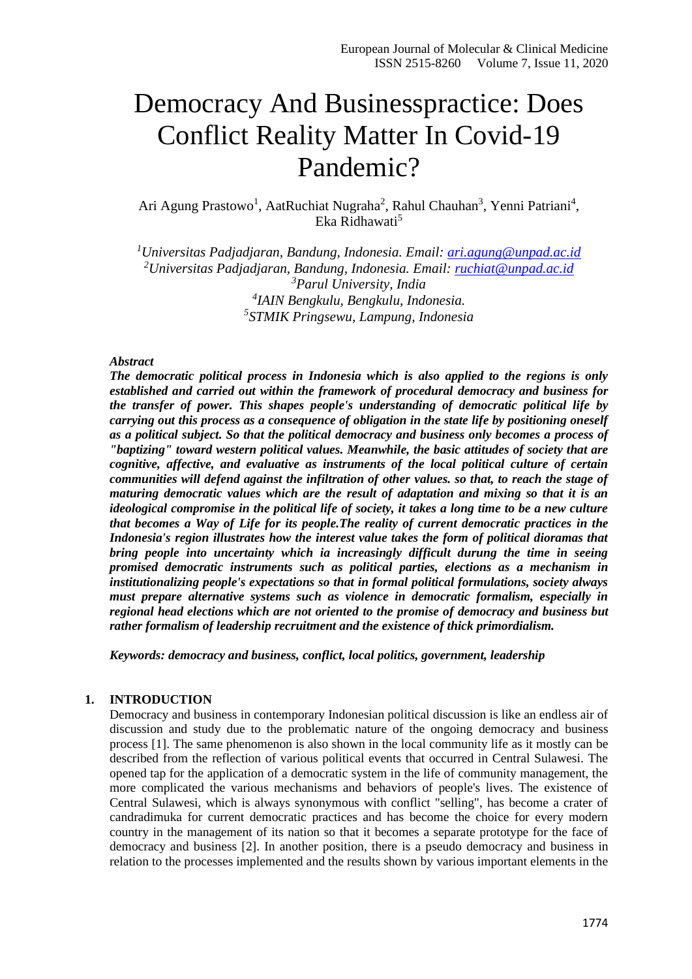# Democracy And Businesspractice: Does Conflict Reality Matter In Covid-19 Pandemic?

Ari Agung Prastowo<sup>1</sup>, AatRuchiat Nugraha<sup>2</sup>, Rahul Chauhan<sup>3</sup>, Yenni Patriani<sup>4</sup>, Eka Ridhawati<sup>5</sup>

*Universitas Padjadjaran, Bandung, Indonesia. Email: [ari.agung@unpad.ac.id](mailto:ari.agung@unpad.ac.id) Universitas Padjadjaran, Bandung, Indonesia. Email: [ruchiat@unpad.ac.id](mailto:ruchiat@unpad.ac.id) Parul University, India IAIN Bengkulu, Bengkulu, Indonesia. STMIK Pringsewu, Lampung, Indonesia*

#### *Abstract*

*The democratic political process in Indonesia which is also applied to the regions is only established and carried out within the framework of procedural democracy and business for the transfer of power. This shapes people's understanding of democratic political life by carrying out this process as a consequence of obligation in the state life by positioning oneself as a political subject. So that the political democracy and business only becomes a process of "baptizing" toward western political values. Meanwhile, the basic attitudes of society that are cognitive, affective, and evaluative as instruments of the local political culture of certain communities will defend against the infiltration of other values. so that, to reach the stage of maturing democratic values which are the result of adaptation and mixing so that it is an ideological compromise in the political life of society, it takes a long time to be a new culture that becomes a Way of Life for its people.The reality of current democratic practices in the Indonesia's region illustrates how the interest value takes the form of political dioramas that bring people into uncertainty which ia increasingly difficult durung the time in seeing promised democratic instruments such as political parties, elections as a mechanism in institutionalizing people's expectations so that in formal political formulations, society always must prepare alternative systems such as violence in democratic formalism, especially in regional head elections which are not oriented to the promise of democracy and business but rather formalism of leadership recruitment and the existence of thick primordialism.*

*Keywords: democracy and business, conflict, local politics, government, leadership*

### **1. INTRODUCTION**

Democracy and business in contemporary Indonesian political discussion is like an endless air of discussion and study due to the problematic nature of the ongoing democracy and business process [1]. The same phenomenon is also shown in the local community life as it mostly can be described from the reflection of various political events that occurred in Central Sulawesi. The opened tap for the application of a democratic system in the life of community management, the more complicated the various mechanisms and behaviors of people's lives. The existence of Central Sulawesi, which is always synonymous with conflict "selling", has become a crater of candradimuka for current democratic practices and has become the choice for every modern country in the management of its nation so that it becomes a separate prototype for the face of democracy and business [2]. In another position, there is a pseudo democracy and business in relation to the processes implemented and the results shown by various important elements in the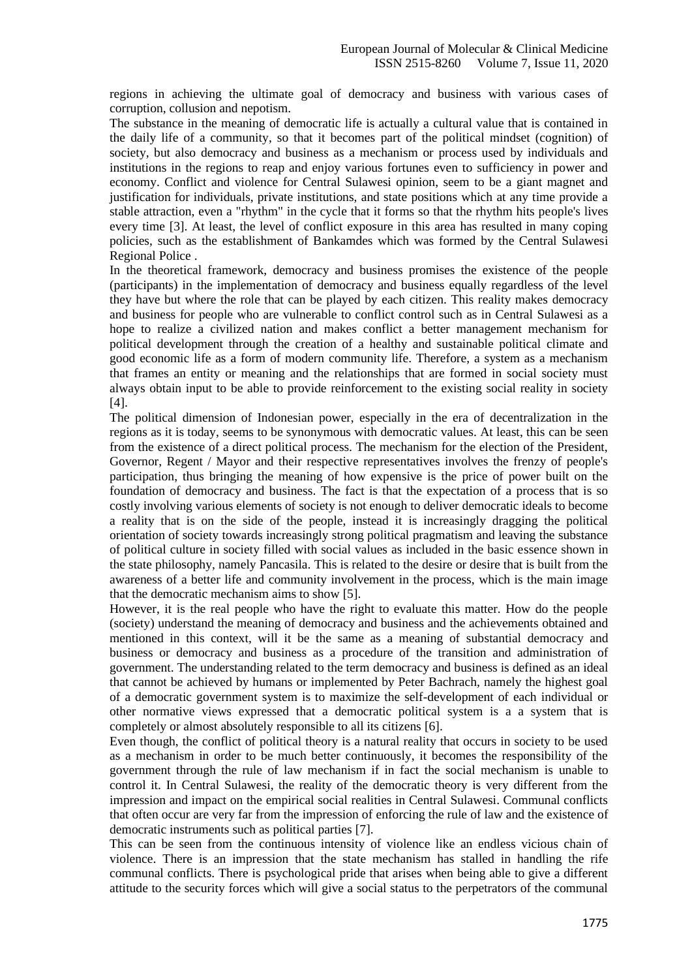regions in achieving the ultimate goal of democracy and business with various cases of corruption, collusion and nepotism.

The substance in the meaning of democratic life is actually a cultural value that is contained in the daily life of a community, so that it becomes part of the political mindset (cognition) of society, but also democracy and business as a mechanism or process used by individuals and institutions in the regions to reap and enjoy various fortunes even to sufficiency in power and economy. Conflict and violence for Central Sulawesi opinion, seem to be a giant magnet and justification for individuals, private institutions, and state positions which at any time provide a stable attraction, even a "rhythm" in the cycle that it forms so that the rhythm hits people's lives every time [3]. At least, the level of conflict exposure in this area has resulted in many coping policies, such as the establishment of Bankamdes which was formed by the Central Sulawesi Regional Police .

In the theoretical framework, democracy and business promises the existence of the people (participants) in the implementation of democracy and business equally regardless of the level they have but where the role that can be played by each citizen. This reality makes democracy and business for people who are vulnerable to conflict control such as in Central Sulawesi as a hope to realize a civilized nation and makes conflict a better management mechanism for political development through the creation of a healthy and sustainable political climate and good economic life as a form of modern community life. Therefore, a system as a mechanism that frames an entity or meaning and the relationships that are formed in social society must always obtain input to be able to provide reinforcement to the existing social reality in society [4].

The political dimension of Indonesian power, especially in the era of decentralization in the regions as it is today, seems to be synonymous with democratic values. At least, this can be seen from the existence of a direct political process. The mechanism for the election of the President, Governor, Regent / Mayor and their respective representatives involves the frenzy of people's participation, thus bringing the meaning of how expensive is the price of power built on the foundation of democracy and business. The fact is that the expectation of a process that is so costly involving various elements of society is not enough to deliver democratic ideals to become a reality that is on the side of the people, instead it is increasingly dragging the political orientation of society towards increasingly strong political pragmatism and leaving the substance of political culture in society filled with social values as included in the basic essence shown in the state philosophy, namely Pancasila. This is related to the desire or desire that is built from the awareness of a better life and community involvement in the process, which is the main image that the democratic mechanism aims to show [5].

However, it is the real people who have the right to evaluate this matter. How do the people (society) understand the meaning of democracy and business and the achievements obtained and mentioned in this context, will it be the same as a meaning of substantial democracy and business or democracy and business as a procedure of the transition and administration of government. The understanding related to the term democracy and business is defined as an ideal that cannot be achieved by humans or implemented by Peter Bachrach, namely the highest goal of a democratic government system is to maximize the self-development of each individual or other normative views expressed that a democratic political system is a a system that is completely or almost absolutely responsible to all its citizens [6].

Even though, the conflict of political theory is a natural reality that occurs in society to be used as a mechanism in order to be much better continuously, it becomes the responsibility of the government through the rule of law mechanism if in fact the social mechanism is unable to control it. In Central Sulawesi, the reality of the democratic theory is very different from the impression and impact on the empirical social realities in Central Sulawesi. Communal conflicts that often occur are very far from the impression of enforcing the rule of law and the existence of democratic instruments such as political parties [7].

This can be seen from the continuous intensity of violence like an endless vicious chain of violence. There is an impression that the state mechanism has stalled in handling the rife communal conflicts. There is psychological pride that arises when being able to give a different attitude to the security forces which will give a social status to the perpetrators of the communal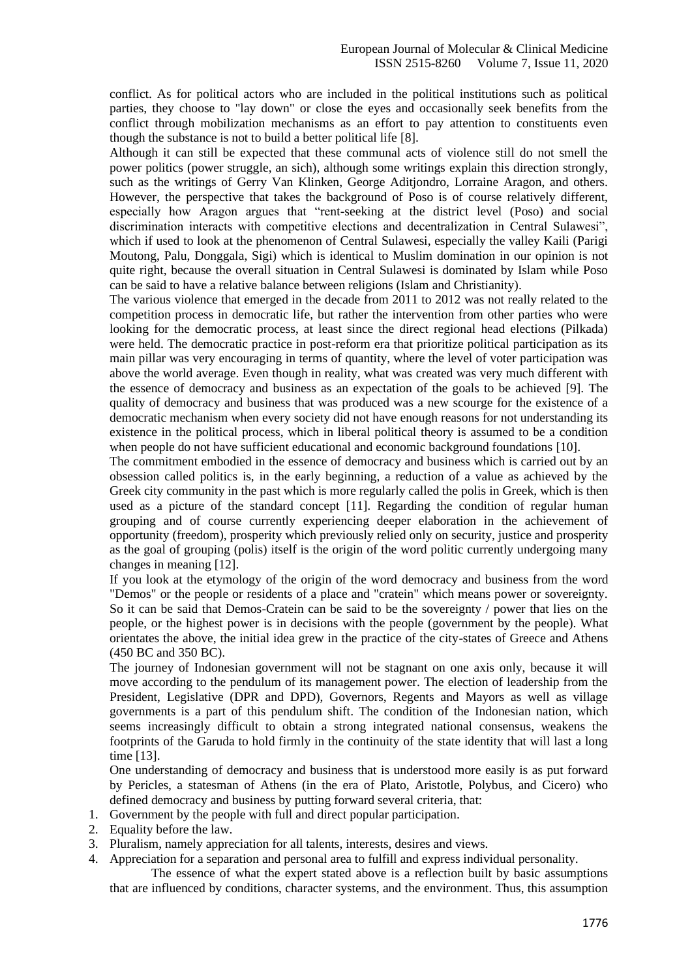conflict. As for political actors who are included in the political institutions such as political parties, they choose to "lay down" or close the eyes and occasionally seek benefits from the conflict through mobilization mechanisms as an effort to pay attention to constituents even though the substance is not to build a better political life [8].

Although it can still be expected that these communal acts of violence still do not smell the power politics (power struggle, an sich), although some writings explain this direction strongly, such as the writings of Gerry Van Klinken, George Aditjondro, Lorraine Aragon, and others. However, the perspective that takes the background of Poso is of course relatively different, especially how Aragon argues that "rent-seeking at the district level (Poso) and social discrimination interacts with competitive elections and decentralization in Central Sulawesi", which if used to look at the phenomenon of Central Sulawesi, especially the valley Kaili (Parigi Moutong, Palu, Donggala, Sigi) which is identical to Muslim domination in our opinion is not quite right, because the overall situation in Central Sulawesi is dominated by Islam while Poso can be said to have a relative balance between religions (Islam and Christianity).

The various violence that emerged in the decade from 2011 to 2012 was not really related to the competition process in democratic life, but rather the intervention from other parties who were looking for the democratic process, at least since the direct regional head elections (Pilkada) were held. The democratic practice in post-reform era that prioritize political participation as its main pillar was very encouraging in terms of quantity, where the level of voter participation was above the world average. Even though in reality, what was created was very much different with the essence of democracy and business as an expectation of the goals to be achieved [9]. The quality of democracy and business that was produced was a new scourge for the existence of a democratic mechanism when every society did not have enough reasons for not understanding its existence in the political process, which in liberal political theory is assumed to be a condition when people do not have sufficient educational and economic background foundations [10].

The commitment embodied in the essence of democracy and business which is carried out by an obsession called politics is, in the early beginning, a reduction of a value as achieved by the Greek city community in the past which is more regularly called the polis in Greek, which is then used as a picture of the standard concept [11]. Regarding the condition of regular human grouping and of course currently experiencing deeper elaboration in the achievement of opportunity (freedom), prosperity which previously relied only on security, justice and prosperity as the goal of grouping (polis) itself is the origin of the word politic currently undergoing many changes in meaning [12].

If you look at the etymology of the origin of the word democracy and business from the word "Demos" or the people or residents of a place and "cratein" which means power or sovereignty. So it can be said that Demos-Cratein can be said to be the sovereignty / power that lies on the people, or the highest power is in decisions with the people (government by the people). What orientates the above, the initial idea grew in the practice of the city-states of Greece and Athens (450 BC and 350 BC).

The journey of Indonesian government will not be stagnant on one axis only, because it will move according to the pendulum of its management power. The election of leadership from the President, Legislative (DPR and DPD), Governors, Regents and Mayors as well as village governments is a part of this pendulum shift. The condition of the Indonesian nation, which seems increasingly difficult to obtain a strong integrated national consensus, weakens the footprints of the Garuda to hold firmly in the continuity of the state identity that will last a long time [13].

One understanding of democracy and business that is understood more easily is as put forward by Pericles, a statesman of Athens (in the era of Plato, Aristotle, Polybus, and Cicero) who defined democracy and business by putting forward several criteria, that:

- 1. Government by the people with full and direct popular participation.
- 2. Equality before the law.
- 3. Pluralism, namely appreciation for all talents, interests, desires and views.
- 4. Appreciation for a separation and personal area to fulfill and express individual personality.

The essence of what the expert stated above is a reflection built by basic assumptions that are influenced by conditions, character systems, and the environment. Thus, this assumption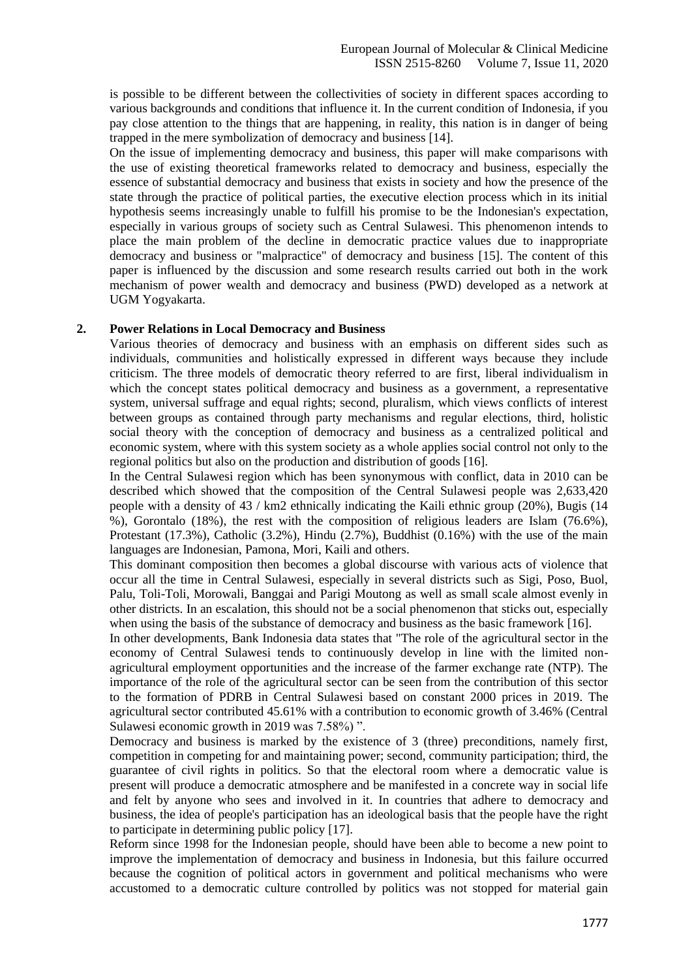is possible to be different between the collectivities of society in different spaces according to various backgrounds and conditions that influence it. In the current condition of Indonesia, if you pay close attention to the things that are happening, in reality, this nation is in danger of being trapped in the mere symbolization of democracy and business [14].

On the issue of implementing democracy and business, this paper will make comparisons with the use of existing theoretical frameworks related to democracy and business, especially the essence of substantial democracy and business that exists in society and how the presence of the state through the practice of political parties, the executive election process which in its initial hypothesis seems increasingly unable to fulfill his promise to be the Indonesian's expectation, especially in various groups of society such as Central Sulawesi. This phenomenon intends to place the main problem of the decline in democratic practice values due to inappropriate democracy and business or "malpractice" of democracy and business [15]. The content of this paper is influenced by the discussion and some research results carried out both in the work mechanism of power wealth and democracy and business (PWD) developed as a network at UGM Yogyakarta.

## **2. Power Relations in Local Democracy and Business**

Various theories of democracy and business with an emphasis on different sides such as individuals, communities and holistically expressed in different ways because they include criticism. The three models of democratic theory referred to are first, liberal individualism in which the concept states political democracy and business as a government, a representative system, universal suffrage and equal rights; second, pluralism, which views conflicts of interest between groups as contained through party mechanisms and regular elections, third, holistic social theory with the conception of democracy and business as a centralized political and economic system, where with this system society as a whole applies social control not only to the regional politics but also on the production and distribution of goods [16].

In the Central Sulawesi region which has been synonymous with conflict, data in 2010 can be described which showed that the composition of the Central Sulawesi people was 2,633,420 people with a density of 43 / km2 ethnically indicating the Kaili ethnic group (20%), Bugis (14 %), Gorontalo (18%), the rest with the composition of religious leaders are Islam (76.6%), Protestant (17.3%), Catholic (3.2%), Hindu (2.7%), Buddhist (0.16%) with the use of the main languages are Indonesian, Pamona, Mori, Kaili and others.

This dominant composition then becomes a global discourse with various acts of violence that occur all the time in Central Sulawesi, especially in several districts such as Sigi, Poso, Buol, Palu, Toli-Toli, Morowali, Banggai and Parigi Moutong as well as small scale almost evenly in other districts. In an escalation, this should not be a social phenomenon that sticks out, especially when using the basis of the substance of democracy and business as the basic framework [16].

In other developments, Bank Indonesia data states that "The role of the agricultural sector in the economy of Central Sulawesi tends to continuously develop in line with the limited nonagricultural employment opportunities and the increase of the farmer exchange rate (NTP). The importance of the role of the agricultural sector can be seen from the contribution of this sector to the formation of PDRB in Central Sulawesi based on constant 2000 prices in 2019. The agricultural sector contributed 45.61% with a contribution to economic growth of 3.46% (Central Sulawesi economic growth in 2019 was 7.58%) ".

Democracy and business is marked by the existence of 3 (three) preconditions, namely first, competition in competing for and maintaining power; second, community participation; third, the guarantee of civil rights in politics. So that the electoral room where a democratic value is present will produce a democratic atmosphere and be manifested in a concrete way in social life and felt by anyone who sees and involved in it. In countries that adhere to democracy and business, the idea of people's participation has an ideological basis that the people have the right to participate in determining public policy [17].

Reform since 1998 for the Indonesian people, should have been able to become a new point to improve the implementation of democracy and business in Indonesia, but this failure occurred because the cognition of political actors in government and political mechanisms who were accustomed to a democratic culture controlled by politics was not stopped for material gain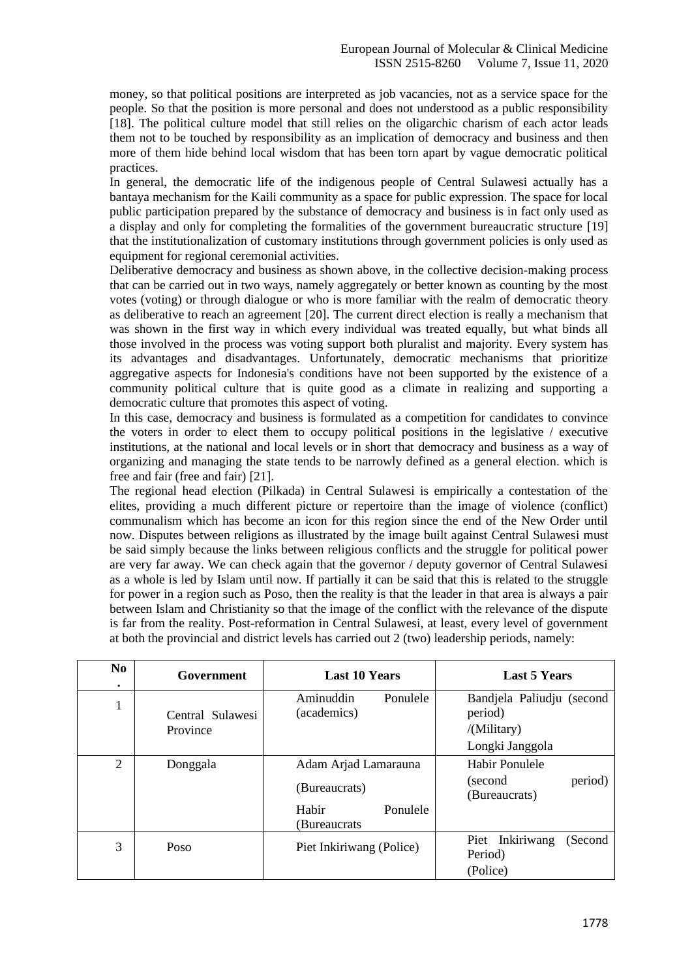money, so that political positions are interpreted as job vacancies, not as a service space for the people. So that the position is more personal and does not understood as a public responsibility [18]. The political culture model that still relies on the oligarchic charism of each actor leads them not to be touched by responsibility as an implication of democracy and business and then more of them hide behind local wisdom that has been torn apart by vague democratic political practices.

In general, the democratic life of the indigenous people of Central Sulawesi actually has a bantaya mechanism for the Kaili community as a space for public expression. The space for local public participation prepared by the substance of democracy and business is in fact only used as a display and only for completing the formalities of the government bureaucratic structure [19] that the institutionalization of customary institutions through government policies is only used as equipment for regional ceremonial activities.

Deliberative democracy and business as shown above, in the collective decision-making process that can be carried out in two ways, namely aggregately or better known as counting by the most votes (voting) or through dialogue or who is more familiar with the realm of democratic theory as deliberative to reach an agreement [20]. The current direct election is really a mechanism that was shown in the first way in which every individual was treated equally, but what binds all those involved in the process was voting support both pluralist and majority. Every system has its advantages and disadvantages. Unfortunately, democratic mechanisms that prioritize aggregative aspects for Indonesia's conditions have not been supported by the existence of a community political culture that is quite good as a climate in realizing and supporting a democratic culture that promotes this aspect of voting.

In this case, democracy and business is formulated as a competition for candidates to convince the voters in order to elect them to occupy political positions in the legislative / executive institutions, at the national and local levels or in short that democracy and business as a way of organizing and managing the state tends to be narrowly defined as a general election. which is free and fair (free and fair) [21].

The regional head election (Pilkada) in Central Sulawesi is empirically a contestation of the elites, providing a much different picture or repertoire than the image of violence (conflict) communalism which has become an icon for this region since the end of the New Order until now. Disputes between religions as illustrated by the image built against Central Sulawesi must be said simply because the links between religious conflicts and the struggle for political power are very far away. We can check again that the governor / deputy governor of Central Sulawesi as a whole is led by Islam until now. If partially it can be said that this is related to the struggle for power in a region such as Poso, then the reality is that the leader in that area is always a pair between Islam and Christianity so that the image of the conflict with the relevance of the dispute is far from the reality. Post-reformation in Central Sulawesi, at least, every level of government at both the provincial and district levels has carried out 2 (two) leadership periods, namely:

| N <sub>0</sub> | Government                   | <b>Last 10 Years</b>                                                       | <b>Last 5 Years</b>                                                    |
|----------------|------------------------------|----------------------------------------------------------------------------|------------------------------------------------------------------------|
| л.             | Central Sulawesi<br>Province | Ponulele<br>Aminuddin<br>(academics)                                       | Bandjela Paliudju (second<br>period)<br>/(Military)<br>Longki Janggola |
| $\overline{2}$ | Donggala                     | Adam Arjad Lamarauna<br>(Bureaucrats)<br>Habir<br>Ponulele<br>(Bureaucrats | Habir Ponulele<br>period)<br>(second)<br>(Bureaucrats)                 |
| 3              | Poso                         | Piet Inkiriwang (Police)                                                   | Inkiriwang<br>(Second<br>Piet<br>Period)<br>(Police)                   |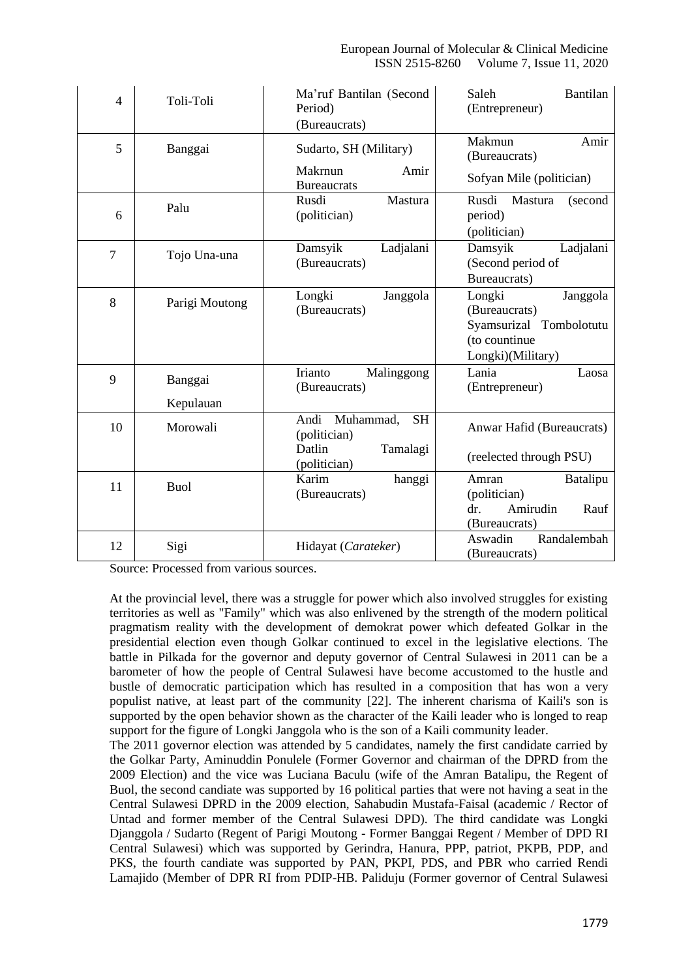| $\overline{4}$ | Toli-Toli            | Ma'ruf Bantilan (Second<br>Period)<br>(Bureaucrats)                                  | Bantilan<br>Saleh<br>(Entrepreneur)                                                                  |
|----------------|----------------------|--------------------------------------------------------------------------------------|------------------------------------------------------------------------------------------------------|
| 5              | Banggai              | Sudarto, SH (Military)                                                               | Makmun<br>Amir<br>(Bureaucrats)                                                                      |
|                |                      | Makrnun<br>Amir<br><b>Bureaucrats</b>                                                | Sofyan Mile (politician)                                                                             |
| 6              | Palu                 | Rusdi<br>Mastura<br>(politician)                                                     | Rusdi<br>Mastura<br>(second<br>period)<br>(politician)                                               |
| $\overline{7}$ | Tojo Una-una         | Ladjalani<br>Damsyik<br>(Bureaucrats)                                                | Ladjalani<br>Damsyik<br>(Second period of<br>Bureaucrats)                                            |
| 8              | Parigi Moutong       | Longki<br>Janggola<br>(Bureaucrats)                                                  | Longki<br>Janggola<br>(Bureaucrats)<br>Syamsurizal Tombolotutu<br>(to countinue<br>Longki)(Military) |
| 9              | Banggai<br>Kepulauan | Malinggong<br>Irianto<br>(Bureaucrats)                                               | Lania<br>Laosa<br>(Entrepreneur)                                                                     |
| 10             | Morowali             | Andi<br>Muhammad,<br><b>SH</b><br>(politician)<br>Datlin<br>Tamalagi<br>(politician) | Anwar Hafid (Bureaucrats)<br>(reelected through PSU)                                                 |
| 11             | <b>Buol</b>          | Karim<br>hanggi<br>(Bureaucrats)                                                     | Batalipu<br>Amran<br>(politician)<br>Amirudin<br>dr.<br>Rauf<br>(Bureaucrats)                        |
| 12             | Sigi                 | Hidayat (Carateker)                                                                  | Randalembah<br>Aswadin<br>(Bureaucrats)                                                              |

Source: Processed from various sources.

At the provincial level, there was a struggle for power which also involved struggles for existing territories as well as "Family" which was also enlivened by the strength of the modern political pragmatism reality with the development of demokrat power which defeated Golkar in the presidential election even though Golkar continued to excel in the legislative elections. The battle in Pilkada for the governor and deputy governor of Central Sulawesi in 2011 can be a barometer of how the people of Central Sulawesi have become accustomed to the hustle and bustle of democratic participation which has resulted in a composition that has won a very populist native, at least part of the community [22]. The inherent charisma of Kaili's son is supported by the open behavior shown as the character of the Kaili leader who is longed to reap support for the figure of Longki Janggola who is the son of a Kaili community leader.

The 2011 governor election was attended by 5 candidates, namely the first candidate carried by the Golkar Party, Aminuddin Ponulele (Former Governor and chairman of the DPRD from the 2009 Election) and the vice was Luciana Baculu (wife of the Amran Batalipu, the Regent of Buol, the second candiate was supported by 16 political parties that were not having a seat in the Central Sulawesi DPRD in the 2009 election, Sahabudin Mustafa-Faisal (academic / Rector of Untad and former member of the Central Sulawesi DPD). The third candidate was Longki Djanggola / Sudarto (Regent of Parigi Moutong - Former Banggai Regent / Member of DPD RI Central Sulawesi) which was supported by Gerindra, Hanura, PPP, patriot, PKPB, PDP, and PKS, the fourth candiate was supported by PAN, PKPI, PDS, and PBR who carried Rendi Lamajido (Member of DPR RI from PDIP-HB. Paliduju (Former governor of Central Sulawesi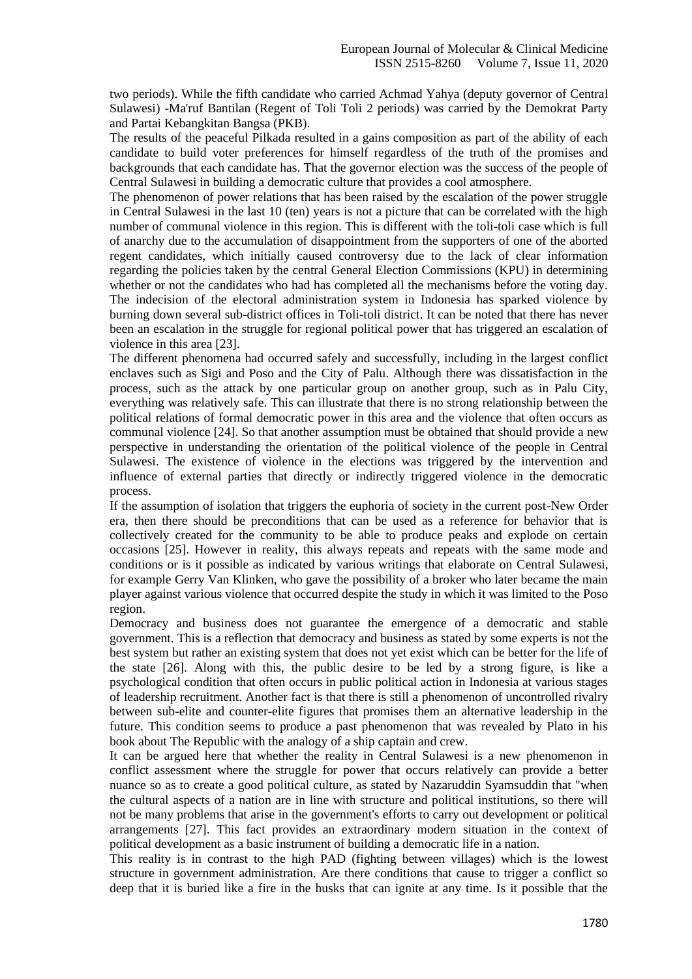two periods). While the fifth candidate who carried Achmad Yahya (deputy governor of Central Sulawesi) -Ma'ruf Bantilan (Regent of Toli Toli 2 periods) was carried by the Demokrat Party and Partai Kebangkitan Bangsa (PKB).

The results of the peaceful Pilkada resulted in a gains composition as part of the ability of each candidate to build voter preferences for himself regardless of the truth of the promises and backgrounds that each candidate has. That the governor election was the success of the people of Central Sulawesi in building a democratic culture that provides a cool atmosphere.

The phenomenon of power relations that has been raised by the escalation of the power struggle in Central Sulawesi in the last 10 (ten) years is not a picture that can be correlated with the high number of communal violence in this region. This is different with the toli-toli case which is full of anarchy due to the accumulation of disappointment from the supporters of one of the aborted regent candidates, which initially caused controversy due to the lack of clear information regarding the policies taken by the central General Election Commissions (KPU) in determining whether or not the candidates who had has completed all the mechanisms before the voting day. The indecision of the electoral administration system in Indonesia has sparked violence by burning down several sub-district offices in Toli-toli district. It can be noted that there has never been an escalation in the struggle for regional political power that has triggered an escalation of violence in this area [23].

The different phenomena had occurred safely and successfully, including in the largest conflict enclaves such as Sigi and Poso and the City of Palu. Although there was dissatisfaction in the process, such as the attack by one particular group on another group, such as in Palu City, everything was relatively safe. This can illustrate that there is no strong relationship between the political relations of formal democratic power in this area and the violence that often occurs as communal violence [24]. So that another assumption must be obtained that should provide a new perspective in understanding the orientation of the political violence of the people in Central Sulawesi. The existence of violence in the elections was triggered by the intervention and influence of external parties that directly or indirectly triggered violence in the democratic process.

If the assumption of isolation that triggers the euphoria of society in the current post-New Order era, then there should be preconditions that can be used as a reference for behavior that is collectively created for the community to be able to produce peaks and explode on certain occasions [25]. However in reality, this always repeats and repeats with the same mode and conditions or is it possible as indicated by various writings that elaborate on Central Sulawesi, for example Gerry Van Klinken, who gave the possibility of a broker who later became the main player against various violence that occurred despite the study in which it was limited to the Poso region.

Democracy and business does not guarantee the emergence of a democratic and stable government. This is a reflection that democracy and business as stated by some experts is not the best system but rather an existing system that does not yet exist which can be better for the life of the state [26]. Along with this, the public desire to be led by a strong figure, is like a psychological condition that often occurs in public political action in Indonesia at various stages of leadership recruitment. Another fact is that there is still a phenomenon of uncontrolled rivalry between sub-elite and counter-elite figures that promises them an alternative leadership in the future. This condition seems to produce a past phenomenon that was revealed by Plato in his book about The Republic with the analogy of a ship captain and crew.

It can be argued here that whether the reality in Central Sulawesi is a new phenomenon in conflict assessment where the struggle for power that occurs relatively can provide a better nuance so as to create a good political culture, as stated by Nazaruddin Syamsuddin that "when the cultural aspects of a nation are in line with structure and political institutions, so there will not be many problems that arise in the government's efforts to carry out development or political arrangements [27]. This fact provides an extraordinary modern situation in the context of political development as a basic instrument of building a democratic life in a nation.

This reality is in contrast to the high PAD (fighting between villages) which is the lowest structure in government administration. Are there conditions that cause to trigger a conflict so deep that it is buried like a fire in the husks that can ignite at any time. Is it possible that the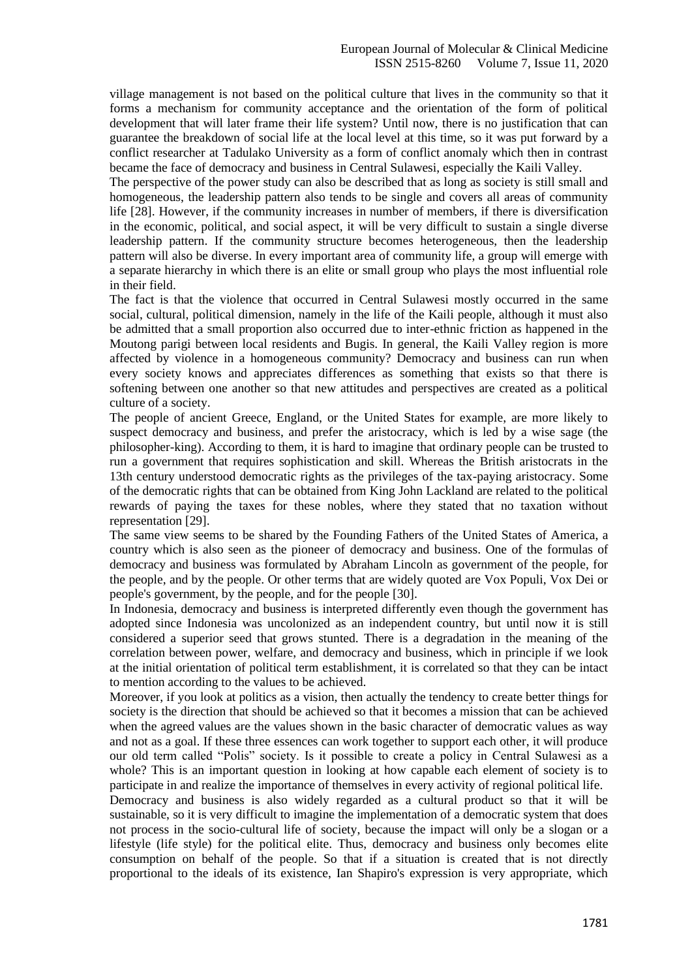village management is not based on the political culture that lives in the community so that it forms a mechanism for community acceptance and the orientation of the form of political development that will later frame their life system? Until now, there is no justification that can guarantee the breakdown of social life at the local level at this time, so it was put forward by a conflict researcher at Tadulako University as a form of conflict anomaly which then in contrast became the face of democracy and business in Central Sulawesi, especially the Kaili Valley.

The perspective of the power study can also be described that as long as society is still small and homogeneous, the leadership pattern also tends to be single and covers all areas of community life [28]. However, if the community increases in number of members, if there is diversification in the economic, political, and social aspect, it will be very difficult to sustain a single diverse leadership pattern. If the community structure becomes heterogeneous, then the leadership pattern will also be diverse. In every important area of community life, a group will emerge with a separate hierarchy in which there is an elite or small group who plays the most influential role in their field.

The fact is that the violence that occurred in Central Sulawesi mostly occurred in the same social, cultural, political dimension, namely in the life of the Kaili people, although it must also be admitted that a small proportion also occurred due to inter-ethnic friction as happened in the Moutong parigi between local residents and Bugis. In general, the Kaili Valley region is more affected by violence in a homogeneous community? Democracy and business can run when every society knows and appreciates differences as something that exists so that there is softening between one another so that new attitudes and perspectives are created as a political culture of a society.

The people of ancient Greece, England, or the United States for example, are more likely to suspect democracy and business, and prefer the aristocracy, which is led by a wise sage (the philosopher-king). According to them, it is hard to imagine that ordinary people can be trusted to run a government that requires sophistication and skill. Whereas the British aristocrats in the 13th century understood democratic rights as the privileges of the tax-paying aristocracy. Some of the democratic rights that can be obtained from King John Lackland are related to the political rewards of paying the taxes for these nobles, where they stated that no taxation without representation [29].

The same view seems to be shared by the Founding Fathers of the United States of America, a country which is also seen as the pioneer of democracy and business. One of the formulas of democracy and business was formulated by Abraham Lincoln as government of the people, for the people, and by the people. Or other terms that are widely quoted are Vox Populi, Vox Dei or people's government, by the people, and for the people [30].

In Indonesia, democracy and business is interpreted differently even though the government has adopted since Indonesia was uncolonized as an independent country, but until now it is still considered a superior seed that grows stunted. There is a degradation in the meaning of the correlation between power, welfare, and democracy and business, which in principle if we look at the initial orientation of political term establishment, it is correlated so that they can be intact to mention according to the values to be achieved.

Moreover, if you look at politics as a vision, then actually the tendency to create better things for society is the direction that should be achieved so that it becomes a mission that can be achieved when the agreed values are the values shown in the basic character of democratic values as way and not as a goal. If these three essences can work together to support each other, it will produce our old term called "Polis" society. Is it possible to create a policy in Central Sulawesi as a whole? This is an important question in looking at how capable each element of society is to participate in and realize the importance of themselves in every activity of regional political life.

Democracy and business is also widely regarded as a cultural product so that it will be sustainable, so it is very difficult to imagine the implementation of a democratic system that does not process in the socio-cultural life of society, because the impact will only be a slogan or a lifestyle (life style) for the political elite. Thus, democracy and business only becomes elite consumption on behalf of the people. So that if a situation is created that is not directly proportional to the ideals of its existence, Ian Shapiro's expression is very appropriate, which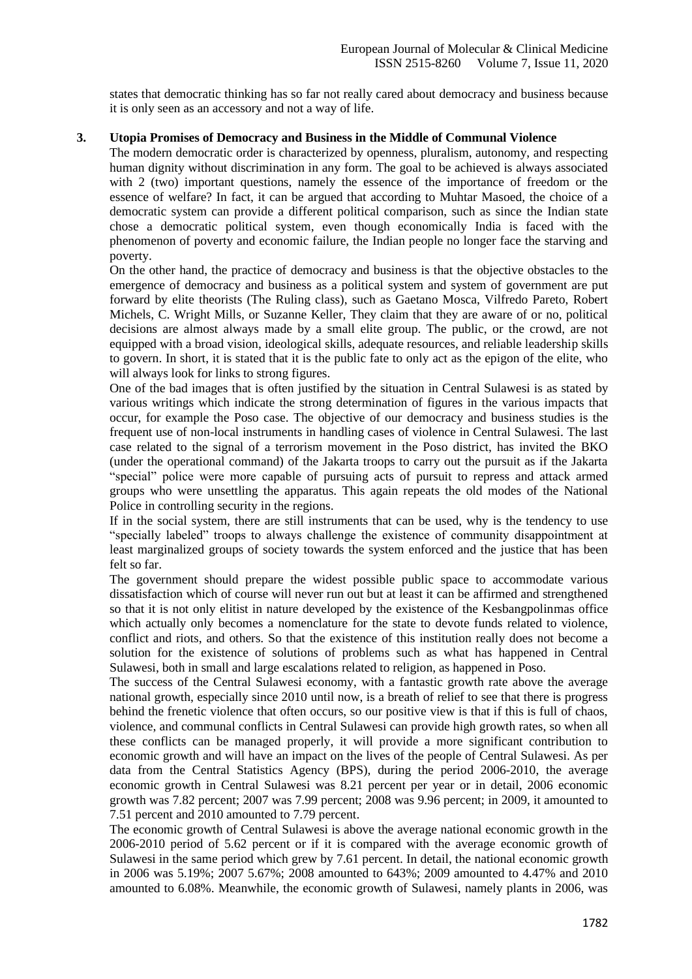states that democratic thinking has so far not really cared about democracy and business because it is only seen as an accessory and not a way of life.

## **3. Utopia Promises of Democracy and Business in the Middle of Communal Violence**

The modern democratic order is characterized by openness, pluralism, autonomy, and respecting human dignity without discrimination in any form. The goal to be achieved is always associated with 2 (two) important questions, namely the essence of the importance of freedom or the essence of welfare? In fact, it can be argued that according to Muhtar Masoed, the choice of a democratic system can provide a different political comparison, such as since the Indian state chose a democratic political system, even though economically India is faced with the phenomenon of poverty and economic failure, the Indian people no longer face the starving and poverty.

On the other hand, the practice of democracy and business is that the objective obstacles to the emergence of democracy and business as a political system and system of government are put forward by elite theorists (The Ruling class), such as Gaetano Mosca, Vilfredo Pareto, Robert Michels, C. Wright Mills, or Suzanne Keller, They claim that they are aware of or no, political decisions are almost always made by a small elite group. The public, or the crowd, are not equipped with a broad vision, ideological skills, adequate resources, and reliable leadership skills to govern. In short, it is stated that it is the public fate to only act as the epigon of the elite, who will always look for links to strong figures.

One of the bad images that is often justified by the situation in Central Sulawesi is as stated by various writings which indicate the strong determination of figures in the various impacts that occur, for example the Poso case. The objective of our democracy and business studies is the frequent use of non-local instruments in handling cases of violence in Central Sulawesi. The last case related to the signal of a terrorism movement in the Poso district, has invited the BKO (under the operational command) of the Jakarta troops to carry out the pursuit as if the Jakarta "special" police were more capable of pursuing acts of pursuit to repress and attack armed groups who were unsettling the apparatus. This again repeats the old modes of the National Police in controlling security in the regions.

If in the social system, there are still instruments that can be used, why is the tendency to use "specially labeled" troops to always challenge the existence of community disappointment at least marginalized groups of society towards the system enforced and the justice that has been felt so far.

The government should prepare the widest possible public space to accommodate various dissatisfaction which of course will never run out but at least it can be affirmed and strengthened so that it is not only elitist in nature developed by the existence of the Kesbangpolinmas office which actually only becomes a nomenclature for the state to devote funds related to violence, conflict and riots, and others. So that the existence of this institution really does not become a solution for the existence of solutions of problems such as what has happened in Central Sulawesi, both in small and large escalations related to religion, as happened in Poso.

The success of the Central Sulawesi economy, with a fantastic growth rate above the average national growth, especially since 2010 until now, is a breath of relief to see that there is progress behind the frenetic violence that often occurs, so our positive view is that if this is full of chaos, violence, and communal conflicts in Central Sulawesi can provide high growth rates, so when all these conflicts can be managed properly, it will provide a more significant contribution to economic growth and will have an impact on the lives of the people of Central Sulawesi. As per data from the Central Statistics Agency (BPS), during the period 2006-2010, the average economic growth in Central Sulawesi was 8.21 percent per year or in detail, 2006 economic growth was 7.82 percent; 2007 was 7.99 percent; 2008 was 9.96 percent; in 2009, it amounted to 7.51 percent and 2010 amounted to 7.79 percent.

The economic growth of Central Sulawesi is above the average national economic growth in the 2006-2010 period of 5.62 percent or if it is compared with the average economic growth of Sulawesi in the same period which grew by 7.61 percent. In detail, the national economic growth in 2006 was 5.19%; 2007 5.67%; 2008 amounted to 643%; 2009 amounted to 4.47% and 2010 amounted to 6.08%. Meanwhile, the economic growth of Sulawesi, namely plants in 2006, was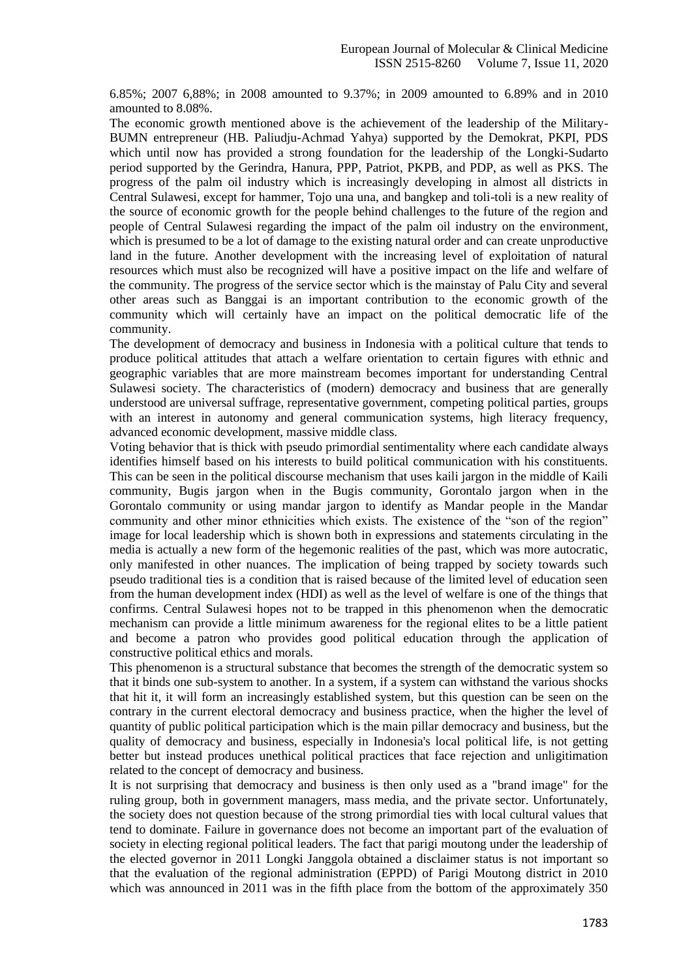6.85%; 2007 6,88%; in 2008 amounted to 9.37%; in 2009 amounted to 6.89% and in 2010 amounted to 8.08%.

The economic growth mentioned above is the achievement of the leadership of the Military-BUMN entrepreneur (HB. Paliudju-Achmad Yahya) supported by the Demokrat, PKPI, PDS which until now has provided a strong foundation for the leadership of the Longki-Sudarto period supported by the Gerindra, Hanura, PPP, Patriot, PKPB, and PDP, as well as PKS. The progress of the palm oil industry which is increasingly developing in almost all districts in Central Sulawesi, except for hammer, Tojo una una, and bangkep and toli-toli is a new reality of the source of economic growth for the people behind challenges to the future of the region and people of Central Sulawesi regarding the impact of the palm oil industry on the environment, which is presumed to be a lot of damage to the existing natural order and can create unproductive land in the future. Another development with the increasing level of exploitation of natural resources which must also be recognized will have a positive impact on the life and welfare of the community. The progress of the service sector which is the mainstay of Palu City and several other areas such as Banggai is an important contribution to the economic growth of the community which will certainly have an impact on the political democratic life of the community.

The development of democracy and business in Indonesia with a political culture that tends to produce political attitudes that attach a welfare orientation to certain figures with ethnic and geographic variables that are more mainstream becomes important for understanding Central Sulawesi society. The characteristics of (modern) democracy and business that are generally understood are universal suffrage, representative government, competing political parties, groups with an interest in autonomy and general communication systems, high literacy frequency, advanced economic development, massive middle class.

Voting behavior that is thick with pseudo primordial sentimentality where each candidate always identifies himself based on his interests to build political communication with his constituents. This can be seen in the political discourse mechanism that uses kaili jargon in the middle of Kaili community, Bugis jargon when in the Bugis community, Gorontalo jargon when in the Gorontalo community or using mandar jargon to identify as Mandar people in the Mandar community and other minor ethnicities which exists. The existence of the "son of the region" image for local leadership which is shown both in expressions and statements circulating in the media is actually a new form of the hegemonic realities of the past, which was more autocratic, only manifested in other nuances. The implication of being trapped by society towards such pseudo traditional ties is a condition that is raised because of the limited level of education seen from the human development index (HDI) as well as the level of welfare is one of the things that confirms. Central Sulawesi hopes not to be trapped in this phenomenon when the democratic mechanism can provide a little minimum awareness for the regional elites to be a little patient and become a patron who provides good political education through the application of constructive political ethics and morals.

This phenomenon is a structural substance that becomes the strength of the democratic system so that it binds one sub-system to another. In a system, if a system can withstand the various shocks that hit it, it will form an increasingly established system, but this question can be seen on the contrary in the current electoral democracy and business practice, when the higher the level of quantity of public political participation which is the main pillar democracy and business, but the quality of democracy and business, especially in Indonesia's local political life, is not getting better but instead produces unethical political practices that face rejection and unligitimation related to the concept of democracy and business.

It is not surprising that democracy and business is then only used as a "brand image" for the ruling group, both in government managers, mass media, and the private sector. Unfortunately, the society does not question because of the strong primordial ties with local cultural values that tend to dominate. Failure in governance does not become an important part of the evaluation of society in electing regional political leaders. The fact that parigi moutong under the leadership of the elected governor in 2011 Longki Janggola obtained a disclaimer status is not important so that the evaluation of the regional administration (EPPD) of Parigi Moutong district in 2010 which was announced in 2011 was in the fifth place from the bottom of the approximately 350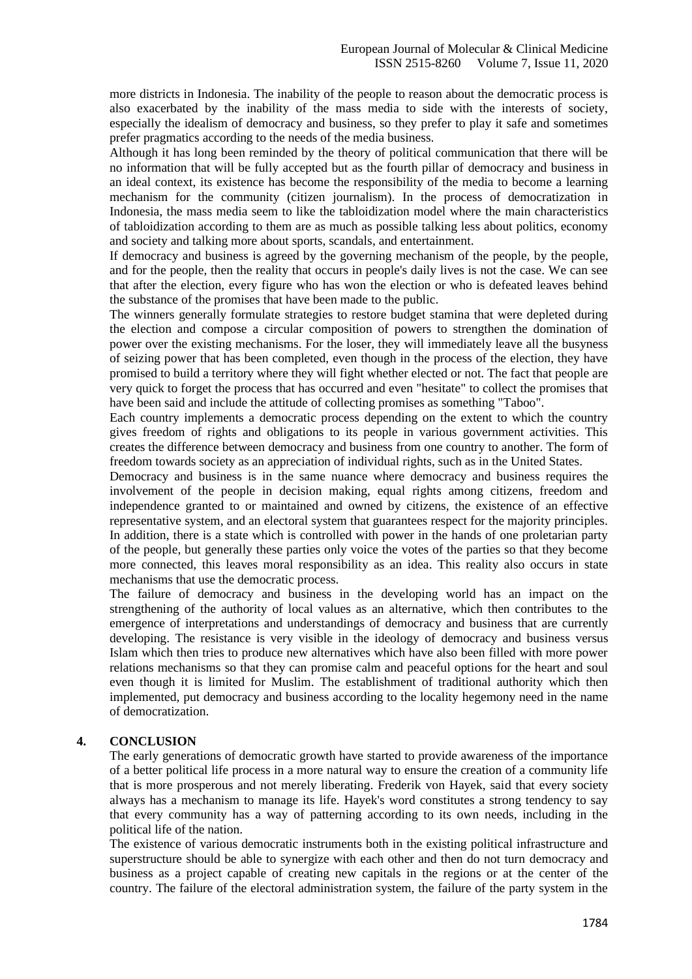more districts in Indonesia. The inability of the people to reason about the democratic process is also exacerbated by the inability of the mass media to side with the interests of society, especially the idealism of democracy and business, so they prefer to play it safe and sometimes prefer pragmatics according to the needs of the media business.

Although it has long been reminded by the theory of political communication that there will be no information that will be fully accepted but as the fourth pillar of democracy and business in an ideal context, its existence has become the responsibility of the media to become a learning mechanism for the community (citizen journalism). In the process of democratization in Indonesia, the mass media seem to like the tabloidization model where the main characteristics of tabloidization according to them are as much as possible talking less about politics, economy and society and talking more about sports, scandals, and entertainment.

If democracy and business is agreed by the governing mechanism of the people, by the people, and for the people, then the reality that occurs in people's daily lives is not the case. We can see that after the election, every figure who has won the election or who is defeated leaves behind the substance of the promises that have been made to the public.

The winners generally formulate strategies to restore budget stamina that were depleted during the election and compose a circular composition of powers to strengthen the domination of power over the existing mechanisms. For the loser, they will immediately leave all the busyness of seizing power that has been completed, even though in the process of the election, they have promised to build a territory where they will fight whether elected or not. The fact that people are very quick to forget the process that has occurred and even "hesitate" to collect the promises that have been said and include the attitude of collecting promises as something "Taboo".

Each country implements a democratic process depending on the extent to which the country gives freedom of rights and obligations to its people in various government activities. This creates the difference between democracy and business from one country to another. The form of freedom towards society as an appreciation of individual rights, such as in the United States.

Democracy and business is in the same nuance where democracy and business requires the involvement of the people in decision making, equal rights among citizens, freedom and independence granted to or maintained and owned by citizens, the existence of an effective representative system, and an electoral system that guarantees respect for the majority principles. In addition, there is a state which is controlled with power in the hands of one proletarian party of the people, but generally these parties only voice the votes of the parties so that they become more connected, this leaves moral responsibility as an idea. This reality also occurs in state mechanisms that use the democratic process.

The failure of democracy and business in the developing world has an impact on the strengthening of the authority of local values as an alternative, which then contributes to the emergence of interpretations and understandings of democracy and business that are currently developing. The resistance is very visible in the ideology of democracy and business versus Islam which then tries to produce new alternatives which have also been filled with more power relations mechanisms so that they can promise calm and peaceful options for the heart and soul even though it is limited for Muslim. The establishment of traditional authority which then implemented, put democracy and business according to the locality hegemony need in the name of democratization.

## **4. CONCLUSION**

The early generations of democratic growth have started to provide awareness of the importance of a better political life process in a more natural way to ensure the creation of a community life that is more prosperous and not merely liberating. Frederik von Hayek, said that every society always has a mechanism to manage its life. Hayek's word constitutes a strong tendency to say that every community has a way of patterning according to its own needs, including in the political life of the nation.

The existence of various democratic instruments both in the existing political infrastructure and superstructure should be able to synergize with each other and then do not turn democracy and business as a project capable of creating new capitals in the regions or at the center of the country. The failure of the electoral administration system, the failure of the party system in the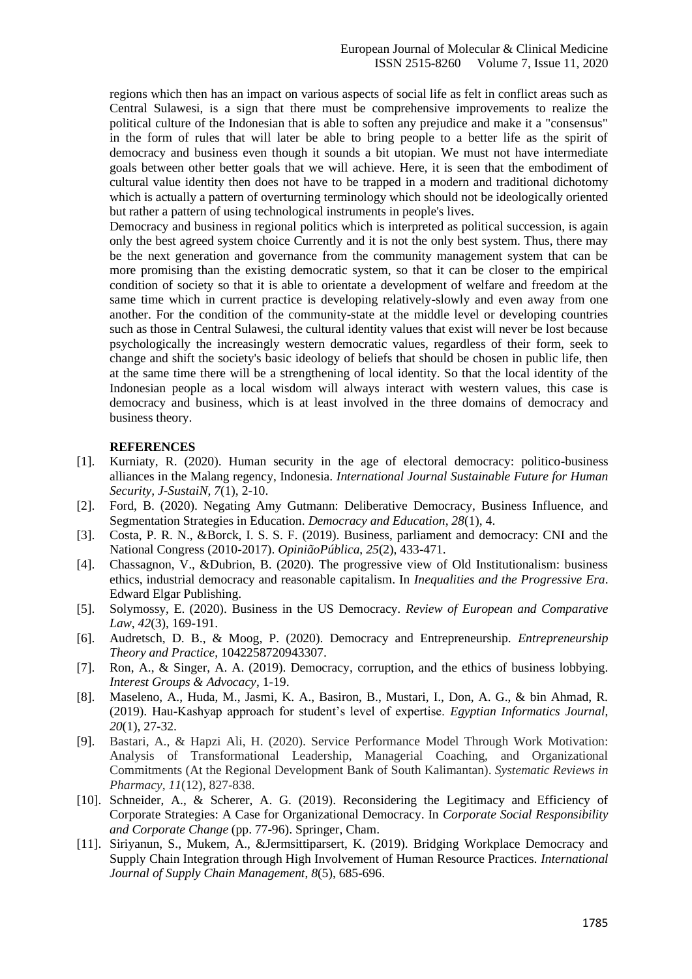regions which then has an impact on various aspects of social life as felt in conflict areas such as Central Sulawesi, is a sign that there must be comprehensive improvements to realize the political culture of the Indonesian that is able to soften any prejudice and make it a "consensus" in the form of rules that will later be able to bring people to a better life as the spirit of democracy and business even though it sounds a bit utopian. We must not have intermediate goals between other better goals that we will achieve. Here, it is seen that the embodiment of cultural value identity then does not have to be trapped in a modern and traditional dichotomy which is actually a pattern of overturning terminology which should not be ideologically oriented but rather a pattern of using technological instruments in people's lives.

Democracy and business in regional politics which is interpreted as political succession, is again only the best agreed system choice Currently and it is not the only best system. Thus, there may be the next generation and governance from the community management system that can be more promising than the existing democratic system, so that it can be closer to the empirical condition of society so that it is able to orientate a development of welfare and freedom at the same time which in current practice is developing relatively-slowly and even away from one another. For the condition of the community-state at the middle level or developing countries such as those in Central Sulawesi, the cultural identity values that exist will never be lost because psychologically the increasingly western democratic values, regardless of their form, seek to change and shift the society's basic ideology of beliefs that should be chosen in public life, then at the same time there will be a strengthening of local identity. So that the local identity of the Indonesian people as a local wisdom will always interact with western values, this case is democracy and business, which is at least involved in the three domains of democracy and business theory.

### **REFERENCES**

- [1]. Kurniaty, R. (2020). Human security in the age of electoral democracy: politico-business alliances in the Malang regency, Indonesia. *International Journal Sustainable Future for Human Security, J-SustaiN*, *7*(1), 2-10.
- [2]. Ford, B. (2020). Negating Amy Gutmann: Deliberative Democracy, Business Influence, and Segmentation Strategies in Education. *Democracy and Education*, *28*(1), 4.
- [3]. Costa, P. R. N., &Borck, I. S. S. F. (2019). Business, parliament and democracy: CNI and the National Congress (2010-2017). *OpiniãoPública*, *25*(2), 433-471.
- [4]. Chassagnon, V., &Dubrion, B. (2020). The progressive view of Old Institutionalism: business ethics, industrial democracy and reasonable capitalism. In *Inequalities and the Progressive Era*. Edward Elgar Publishing.
- [5]. Solymossy, E. (2020). Business in the US Democracy. *Review of European and Comparative Law*, *42*(3), 169-191.
- [6]. Audretsch, D. B., & Moog, P. (2020). Democracy and Entrepreneurship. *Entrepreneurship Theory and Practice*, 1042258720943307.
- [7]. Ron, A., & Singer, A. A. (2019). Democracy, corruption, and the ethics of business lobbying. *Interest Groups & Advocacy*, 1-19.
- [8]. Maseleno, A., Huda, M., Jasmi, K. A., Basiron, B., Mustari, I., Don, A. G., & bin Ahmad, R. (2019). Hau-Kashyap approach for student's level of expertise. *Egyptian Informatics Journal*, *20*(1), 27-32.
- [9]. Bastari, A., & Hapzi Ali, H. (2020). Service Performance Model Through Work Motivation: Analysis of Transformational Leadership, Managerial Coaching, and Organizational Commitments (At the Regional Development Bank of South Kalimantan). *Systematic Reviews in Pharmacy*, *11*(12), 827-838.
- [10]. Schneider, A., & Scherer, A. G. (2019). Reconsidering the Legitimacy and Efficiency of Corporate Strategies: A Case for Organizational Democracy. In *Corporate Social Responsibility and Corporate Change* (pp. 77-96). Springer, Cham.
- [11]. Siriyanun, S., Mukem, A., &Jermsittiparsert, K. (2019). Bridging Workplace Democracy and Supply Chain Integration through High Involvement of Human Resource Practices. *International Journal of Supply Chain Management*, *8*(5), 685-696.